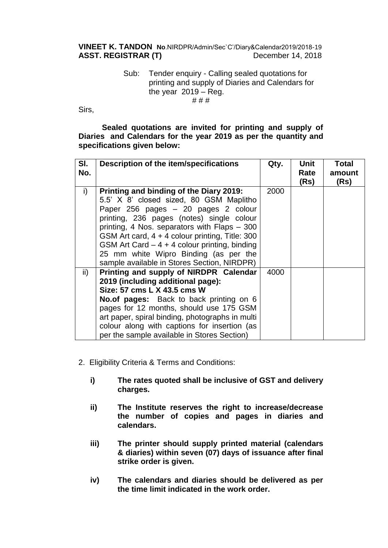**VINEET K. TANDON No**.NIRDPR/Admin/Sec`C'/Diary&Calendar2019/2018-19 ASST. REGISTRAR (T) December 14, 2018

## Sub: Tender enquiry - Calling sealed quotations for printing and supply of Diaries and Calendars for the year  $2019 - Reg$ . # # #

Sirs,

**Sealed quotations are invited for printing and supply of Diaries and Calendars for the year 2019 as per the quantity and specifications given below:**

| SI.<br>No.    | <b>Description of the item/specifications</b>                                                                                                                                                                                                                                                                                                                                                                       | Qty. | Unit<br>Rate<br>(Rs) | <b>Total</b><br>amount<br>(Rs) |
|---------------|---------------------------------------------------------------------------------------------------------------------------------------------------------------------------------------------------------------------------------------------------------------------------------------------------------------------------------------------------------------------------------------------------------------------|------|----------------------|--------------------------------|
| i)            | Printing and binding of the Diary 2019:<br>5.5' X 8' closed sized, 80 GSM Maplitho<br>Paper 256 pages - 20 pages 2 colour<br>printing, 236 pages (notes) single colour<br>printing, 4 Nos. separators with Flaps - 300<br>GSM Art card, 4 + 4 colour printing, Title: 300<br>GSM Art Card $-4 + 4$ colour printing, binding<br>25 mm white Wipro Binding (as per the<br>sample available in Stores Section, NIRDPR) | 2000 |                      |                                |
| $\mathsf{ii}$ | Printing and supply of NIRDPR Calendar<br>2019 (including additional page):<br>Size: 57 cms L X 43.5 cms W<br><b>No.of pages:</b> Back to back printing on 6<br>pages for 12 months, should use 175 GSM<br>art paper, spiral binding, photographs in multi<br>colour along with captions for insertion (as<br>per the sample available in Stores Section)                                                           | 4000 |                      |                                |

- 2. Eligibility Criteria & Terms and Conditions:
	- **i) The rates quoted shall be inclusive of GST and delivery charges.**
	- **ii) The Institute reserves the right to increase/decrease the number of copies and pages in diaries and calendars.**
	- **iii) The printer should supply printed material (calendars & diaries) within seven (07) days of issuance after final strike order is given.**
	- **iv) The calendars and diaries should be delivered as per the time limit indicated in the work order.**